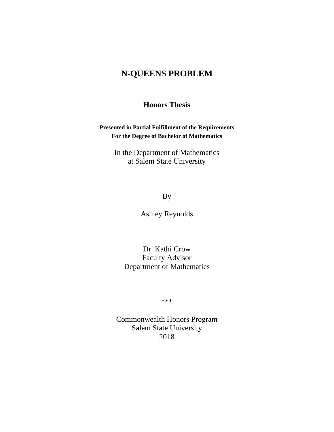# **N-QUEENS PROBLEM**

## **Honors Thesis**

**Presented in Partial Fulfillment of the Requirements For the Degree of Bachelor of Mathematics** 

> In the Department of Mathematics at Salem State University

> > By

Ashley Reynolds

Dr. Kathi Crow Faculty Advisor Department of Mathematics

\*\*\*

Commonwealth Honors Program Salem State University 2018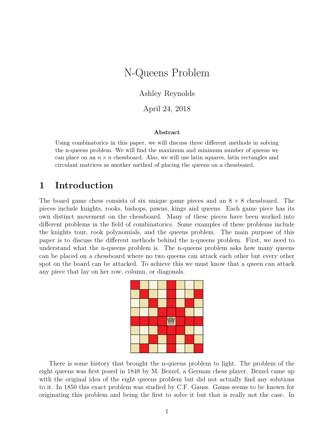# N-Queens Problem

Ashley Reynolds

April 24, 2018

#### Abstract

Using combinatorics in this paper, we will discuss three different methods in solving the n-queens problem. We will find the maximum and minimum number of queens we can place on an  $n \times n$  chessboard. Also, we will use latin squares, latin rectangles and circulant matrices as another method of placing the queens on a chessboard.

## 1 Introduction

The board game chess consists of six unique game pieces and an  $8 \times 8$  chessboard. The pieces include knights, rooks, bishops, pawns, kings and queens. Each game piece has its own distinct movement on the chessboard. Many of these pieces have been worked into different problems in the field of combinatorics. Some examples of these problems include the knights tour, rook polynomials, and the queens problem. The main purpose of this paper is to discuss the different methods behind the n-queens problem. First, we need to understand what the n-queens problem is. The n-queens problem asks how many queens can be placed on a chessboard where no two queens can attack each other but every other spot on the board can be attacked. To achieve this we must know that a queen can attack any piece that lay on her row, column, or diagonals.



There is some history that brought the n-queens problem to light. The problem of the eight queens was first posed in 1848 by M. Bezzel, a German chess player. Bezzel came up with the original idea of the eight queens problem but did not actually find any solutions to it. In 1850 this exact problem was studied by C.F. Gauss. Gauss seems to be known for originating this problem and being the first to solve it but that is really not the case. In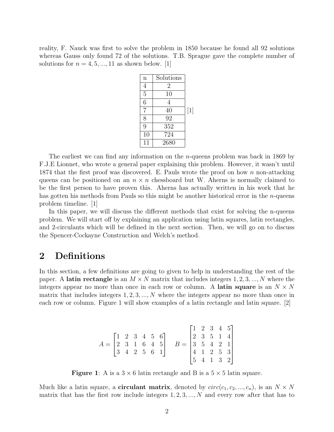reality, F. Nauck was first to solve the problem in 1850 because he found all 92 solutions whereas Gauss only found 72 of the solutions. T.B. Sprague gave the complete number of solutions for  $n = 4, 5, \ldots, 11$  as shown below. [1]

| $\mathbf n$    | Solutions |       |
|----------------|-----------|-------|
| 4              | 2         |       |
| $\overline{5}$ | 10        |       |
| $\overline{6}$ | 4         |       |
| 7              | 40        | $[1]$ |
| 8              | 92        |       |
| 9              | 352       |       |
| 10             | 724       |       |
| 11             | 2680      |       |

The earliest we can find any information on the *n*-queens problem was back in 1869 by F.J.E Lionnet, who wrote a general paper explaining this problem. However, it wasn't until 1874 that the first proof was discovered. E. Pauls wrote the proof on how n non-attacking queens can be positioned on an  $n \times n$  chessboard but W. Aherns is normally claimed to be the first person to have proven this. Aherns has actually written in his work that he has gotten his methods from Pauls so this might be another historical error in the *n*-queens problem timeline. [1]

In this paper, we will discuss the different methods that exist for solving the n-queens problem. We will start off by explaining an application using latin squares, latin rectangles, and 2-circulants which will be defined in the next section. Then, we will go on to discuss the Spencer-Cockayne Construction and Welch's method.

## 2 Definitions

In this section, a few definitions are going to given to help in understanding the rest of the paper. A latin rectangle is an  $M \times N$  matrix that includes integers 1, 2, 3, ..., N where the integers appear no more than once in each row or column. A **latin square** is an  $N \times N$ matrix that includes integers  $1, 2, 3, \ldots, N$  where the integers appear no more than once in each row or column. Figure 1 will show examples of a latin rectangle and latin square. [2]

| $A = \begin{bmatrix} 1 & 2 & 3 & 4 & 5 & 6 \\ 2 & 3 & 1 & 6 & 4 & 5 \\ 3 & 4 & 2 & 5 & 6 & 1 \end{bmatrix}$ B = |  |  |  |                                                                                                                                           |  |  |  |
|-----------------------------------------------------------------------------------------------------------------|--|--|--|-------------------------------------------------------------------------------------------------------------------------------------------|--|--|--|
|                                                                                                                 |  |  |  | $B = \begin{bmatrix} 1 & 2 & 3 & 4 & 5 \\ 2 & 3 & 5 & 1 & 4 \\ 3 & 5 & 4 & 2 & 1 \\ 4 & 1 & 2 & 5 & 3 \\ 5 & 4 & 1 & 3 & 2 \end{bmatrix}$ |  |  |  |

**Figure 1:** A is a  $3 \times 6$  latin rectangle and B is a  $5 \times 5$  latin square.

Much like a latin square, a **circulant matrix**, denoted by  $circ(c_1, c_2, ..., c_n)$ , is an  $N \times N$ matrix that has the first row include integers  $1, 2, 3, ..., N$  and every row after that has to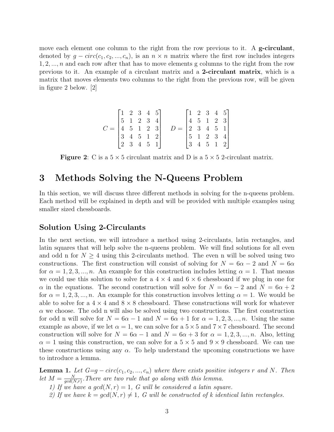move each element one column to the right from the row previous to it. A g-circulant, denoted by  $g - circ(c_1, c_2, ..., c_n)$ , is an  $n \times n$  matrix where the first row includes integers  $1, 2, \ldots, n$  and each row after that has to move elements g columns to the right from the row previous to it. An example of a circulant matrix and a 2-circulant matrix, which is a matrix that moves elements two columns to the right from the previous row, will be given in figure 2 below. [2]

$$
C = \begin{bmatrix} 1 & 2 & 3 & 4 & 5 \\ 5 & 1 & 2 & 3 & 4 \\ 4 & 5 & 1 & 2 & 3 \\ 3 & 4 & 5 & 1 & 2 \\ 2 & 3 & 4 & 5 & 1 \end{bmatrix} \quad D = \begin{bmatrix} 1 & 2 & 3 & 4 & 5 \\ 4 & 5 & 1 & 2 & 3 \\ 2 & 3 & 4 & 5 & 1 \\ 5 & 1 & 2 & 3 & 4 \\ 3 & 4 & 5 & 1 & 2 \end{bmatrix}
$$

**Figure 2:** C is a  $5 \times 5$  circulant matrix and D is a  $5 \times 5$  2-circulant matrix.

## 3 Methods Solving the N-Queens Problem

In this section, we will discuss three different methods in solving for the n-queens problem. Each method will be explained in depth and will be provided with multiple examples using smaller sized chessboards.

### Solution Using 2-Circulants

In the next section, we will introduce a method using 2-circulants, latin rectangles, and latin squares that will help solve the n-queens problem. We will find solutions for all even and odd n for  $N \geq 4$  using this 2-circulants method. The even n will be solved using two constructions. The first construction will consist of solving for  $N = 6\alpha - 2$  and  $N = 6\alpha$ for  $\alpha = 1, 2, 3, ..., n$ . An example for this construction includes letting  $\alpha = 1$ . That means we could use this solution to solve for a  $4 \times 4$  and  $6 \times 6$  chessboard if we plug in one for  $\alpha$  in the equations. The second construction will solve for  $N = 6\alpha - 2$  and  $N = 6\alpha + 2$ for  $\alpha = 1, 2, 3, \dots, n$ . An example for this construction involves letting  $\alpha = 1$ . We would be able to solve for a  $4 \times 4$  and  $8 \times 8$  chessboard. These constructions will work for whatever  $\alpha$  we choose. The odd n will also be solved using two constructions. The first construction for odd n will solve for  $N = 6\alpha - 1$  and  $N = 6\alpha + 1$  for  $\alpha = 1, 2, 3, ..., n$ . Using the same example as above, if we let  $\alpha = 1$ , we can solve for a  $5 \times 5$  and  $7 \times 7$  chessboard. The second construction will solve for  $N = 6\alpha - 1$  and  $N = 6\alpha + 3$  for  $\alpha = 1, 2, 3, ..., n$ . Also, letting  $\alpha = 1$  using this construction, we can solve for a  $5 \times 5$  and  $9 \times 9$  chessboard. We can use these constructions using any  $\alpha$ . To help understand the upcoming constructions we have to introduce a lemma.

**Lemma 1.** Let  $G=g-circ(c_1, c_2, ..., c_n)$  where there exists positive integers r and N. Then let  $M = \frac{N}{gcd(l)}$  $\frac{N}{gcd(N,r)}$ . There are two rule that go along with this lemma.

1) If we have a  $gcd(N, r) = 1$ , G will be considered a latin square.

2) If we have  $k = gcd(N, r) \neq 1$ , G will be constructed of k identical latin rectangles.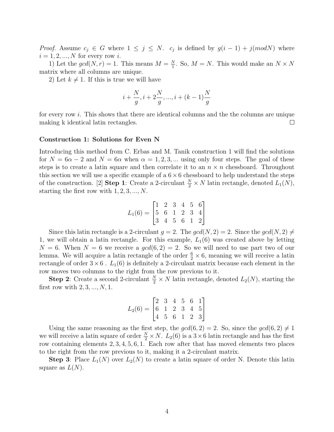*Proof.* Assume  $c_j \in G$  where  $1 \leq j \leq N$ .  $c_j$  is defined by  $g(i-1) + j(modN)$  where  $i = 1, 2, ..., N$  for every row i.

1) Let the  $gcd(N, r) = 1$ . This means  $M = \frac{N}{1}$  $\frac{N}{1}$ . So,  $M = N$ . This would make an  $N \times N$ matrix where all columns are unique.

2) Let  $k \neq 1$ . If this is true we will have

$$
i+\frac{N}{g},i+2\frac{N}{g},...,i+(k-1)\frac{N}{g}
$$

for every row i. This shows that there are identical columns and the the columns are unique making k identical latin rectangles.  $\Box$ 

#### Construction 1: Solutions for Even N

Introducing this method from C. Erbas and M. Tanik construction 1 will find the solutions for  $N = 6\alpha - 2$  and  $N = 6\alpha$  when  $\alpha = 1, 2, 3, ...$  using only four steps. The goal of these steps is to create a latin square and then correlate it to an  $n \times n$  chessboard. Throughout this section we will use a specific example of a  $6 \times 6$  chessboard to help understand the steps of the construction. [2] **Step 1**: Create a 2-circulant  $\frac{N}{2} \times N$  latin rectangle, denoted  $L_1(N)$ , starting the first row with  $1, 2, 3, ..., N$ .

$$
L_1(6) = \begin{bmatrix} 1 & 2 & 3 & 4 & 5 & 6 \\ 5 & 6 & 1 & 2 & 3 & 4 \\ 3 & 4 & 5 & 6 & 1 & 2 \end{bmatrix}
$$

Since this latin rectangle is a 2-circulant  $q = 2$ . The  $gcd(N, 2) = 2$ . Since the  $gcd(N, 2) \neq 0$ 1, we will obtain a latin rectangle. For this example,  $L_1(6)$  was created above by letting  $N = 6$ . When  $N = 6$  we receive a  $gcd(6, 2) = 2$ . So we will need to use part two of our lemma. We will acquire a latin rectangle of the order  $\frac{6}{2} \times 6$ , meaning we will receive a latin rectangle of order  $3 \times 6$ .  $L_1(6)$  is definitely a 2-circulant matrix because each element in the row moves two columns to the right from the row previous to it.

**Step 2**: Create a second 2-circulant  $\frac{N}{2} \times N$  latin rectangle, denoted  $L_2(N)$ , starting the first row with  $2, 3, ..., N, 1$ .

$$
L_2(6) = \begin{bmatrix} 2 & 3 & 4 & 5 & 6 & 1 \\ 6 & 1 & 2 & 3 & 4 & 5 \\ 4 & 5 & 6 & 1 & 2 & 3 \end{bmatrix}
$$

Using the same reasoning as the first step, the  $gcd(6, 2) = 2$ . So, since the  $gcd(6, 2) \neq 1$ we will receive a latin square of order  $\frac{N}{2} \times N$ .  $L_2(6)$  is a  $3 \times 6$  latin rectangle and has the first row containing elements 2, 3, 4, 5, 6, 1. Each row after that has moved elements two places to the right from the row previous to it, making it a 2-circulant matrix.

**Step 3**: Place  $L_1(N)$  over  $L_2(N)$  to create a latin square of order N. Denote this latin square as  $L(N)$ .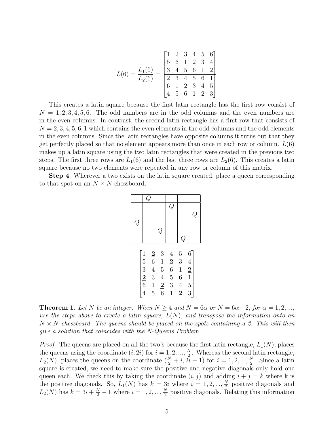$$
L(6) = \frac{L_1(6)}{L_2(6)} = \frac{\begin{bmatrix} 1 & 2 & 3 & 4 & 5 & 6 \\ 5 & 6 & 1 & 2 & 3 & 4 \\ 3 & 4 & 5 & 6 & 1 & 2 \\ 2 & 3 & 4 & 5 & 6 & 1 \\ 6 & 1 & 2 & 3 & 4 & 5 \\ 4 & 5 & 6 & 1 & 2 & 3 \end{bmatrix}}
$$

This creates a latin square because the first latin rectangle has the first row consist of  $N = 1, 2, 3, 4, 5, 6$ . The odd numbers are in the odd columns and the even numbers are in the even columns. In contrast, the second latin rectangle has a first row that consists of  $N = 2, 3, 4, 5, 6, 1$  which contains the even elements in the odd columns and the odd elements in the even columns. Since the latin rectangles have opposite columns it turns out that they get perfectly placed so that no element appears more than once in each row or column.  $L(6)$ makes up a latin square using the two latin rectangles that were created in the previous two steps. The first three rows are  $L_1(6)$  and the last three rows are  $L_2(6)$ . This creates a latin square because no two elements were repeated in any row or column of this matrix.

Step 4: Wherever a two exists on the latin square created, place a queen corresponding to that spot on an  $N \times N$  chessboard.

|           | Q |   |             |               |         |
|-----------|---|---|-------------|---------------|---------|
|           |   |   | $\tilde{Q}$ |               |         |
|           |   |   |             |               | .<br>مہ |
| $\bar{Q}$ |   |   |             |               |         |
|           |   | Q |             |               |         |
|           |   |   |             | $\mathcal{Q}$ |         |
|           |   |   |             |               |         |

|                                                                  | $\begin{array}{cccc} {\bf 2} & 3 & 4 \\ 6 & 1 & {\bf 2} \\ 4 & 5 & 6 \\ 3 & 4 & 5 \\ 1 & {\bf 2} & 3 \\ 5 & 6 & 1 \\ \end{array}$ | $\overline{5}$  | 6                            |
|------------------------------------------------------------------|-----------------------------------------------------------------------------------------------------------------------------------|-----------------|------------------------------|
|                                                                  |                                                                                                                                   | $\mathbf{3}$    |                              |
| $\begin{array}{c} 1 \\ 5 \\ 3 \\ \underline{2} \\ 6 \end{array}$ |                                                                                                                                   | $\mathbf{1}$    | $\left  \frac{2}{1} \right $ |
|                                                                  |                                                                                                                                   | $6\overline{6}$ |                              |
|                                                                  |                                                                                                                                   | $\overline{4}$  | $\overline{5}$               |
|                                                                  |                                                                                                                                   | $\overline{2}$  |                              |

**Theorem 1.** Let N be an integer. When  $N \geq 4$  and  $N = 6\alpha$  or  $N = 6\alpha - 2$ , for  $\alpha = 1, 2, ...,$ use the steps above to create a latin square,  $L(N)$ , and transpose the information onto an  $N \times N$  chessboard. The queens should be placed on the spots containing a 2. This will then give a solution that coincides with the N-Queens Problem.

*Proof.* The queens are placed on all the two's because the first latin rectangle,  $L_1(N)$ , places the queens using the coordinate  $(i, 2i)$  for  $i = 1, 2, ..., \frac{N}{2}$  $\frac{N}{2}$ . Whereas the second latin rectangle,  $L_2(N)$ , places the queens on the coordinate  $(\frac{N}{2}+i, 2\overline{i}-1)$  for  $i=1, 2, ..., \frac{N}{2}$  $\frac{N}{2}$ . Since a latin square is created, we need to make sure the positive and negative diagonals only hold one queen each. We check this by taking the coordinate  $(i, j)$  and adding  $i + j = k$  where k is the positive diagonals. So,  $L_1(N)$  has  $k = 3i$  where  $i = 1, 2, ..., \frac{N}{2}$  $\frac{N}{2}$  positive diagonals and  $L_2(N)$  has  $k = 3i + \frac{N}{2} - 1$  where  $i = 1, 2, ..., \frac{N}{2}$  $\frac{N}{2}$  positive diagonals. Relating this information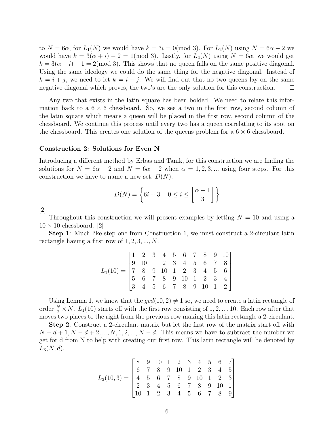to  $N = 6\alpha$ , for  $L_1(N)$  we would have  $k = 3i = 0 \pmod{3}$ . For  $L_2(N)$  using  $N = 6\alpha - 2$  we would have  $k = 3(\alpha + i) - 2 = 1 \pmod{3}$ . Lastly, for  $L_2(N)$  using  $N = 6\alpha$ , we would get  $k = 3(\alpha + i) - 1 = 2 \pmod{3}$ . This shows that no queen falls on the same positive diagonal. Using the same ideology we could do the same thing for the negative diagonal. Instead of  $k = i + j$ , we need to let  $k = i - j$ . We will find out that no two queens lay on the same negative diagonal which proves, the two's are the only solution for this construction.  $\Box$ 

Any two that exists in the latin square has been bolded. We need to relate this information back to a  $6 \times 6$  chessboard. So, we see a two in the first row, second column of the latin square which means a queen will be placed in the first row, second column of the chessboard. We continue this process until every two has a queen correlating to its spot on the chessboard. This creates one solution of the queens problem for a  $6 \times 6$  chessboard.

#### Construction 2: Solutions for Even N

Introducing a different method by Erbas and Tanik, for this construction we are finding the solutions for  $N = 6\alpha - 2$  and  $N = 6\alpha + 2$  when  $\alpha = 1, 2, 3, ...$  using four steps. For this construction we have to name a new set,  $D(N)$ .

$$
D(N) = \left\{ 6i + 3 \mid 0 \le i \le \left\lfloor \frac{\alpha - 1}{3} \right\rfloor \right\}
$$

[2]

Throughout this construction we will present examples by letting  $N = 10$  and using a  $10 \times 10$  chessboard. [2]

Step 1: Much like step one from Construction 1, we must construct a 2-circulant latin rectangle having a first row of  $1, 2, 3, ..., N$ .

$$
L_1(10) = \begin{bmatrix} 1 & 2 & 3 & 4 & 5 & 6 & 7 & 8 & 9 & 10 \\ 9 & 10 & 1 & 2 & 3 & 4 & 5 & 6 & 7 & 8 \\ 7 & 8 & 9 & 10 & 1 & 2 & 3 & 4 & 5 & 6 \\ 5 & 6 & 7 & 8 & 9 & 10 & 1 & 2 & 3 & 4 \\ 3 & 4 & 5 & 6 & 7 & 8 & 9 & 10 & 1 & 2 \end{bmatrix}
$$

Using Lemma 1, we know that the  $gcd(10, 2) \neq 1$  so, we need to create a latin rectangle of order  $\frac{N}{2} \times N$ .  $L_1(10)$  starts off with the first row consisting of 1, 2, ..., 10. Each row after that moves two places to the right from the previous row making this latin rectangle a 2-circulant.

Step 2: Construct a 2-circulant matrix but let the first row of the matrix start off with  $N-d+1, N-d+2, ..., N, 1, 2, ..., N-d.$  This means we have to subtract the number we get for d from N to help with creating our first row. This latin rectangle will be denoted by  $L_3(N, d)$ .

$$
L_3(10,3) = \begin{bmatrix} 8 & 9 & 10 & 1 & 2 & 3 & 4 & 5 & 6 & 7 \\ 6 & 7 & 8 & 9 & 10 & 1 & 2 & 3 & 4 & 5 \\ 4 & 5 & 6 & 7 & 8 & 9 & 10 & 1 & 2 & 3 \\ 2 & 3 & 4 & 5 & 6 & 7 & 8 & 9 & 10 & 1 \\ 10 & 1 & 2 & 3 & 4 & 5 & 6 & 7 & 8 & 9 \end{bmatrix}
$$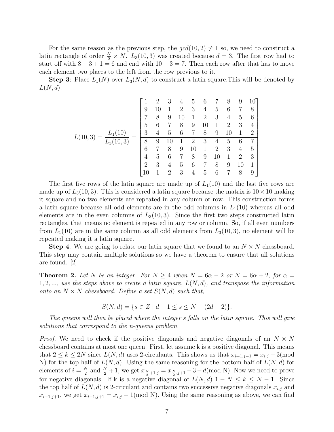For the same reason as the previous step, the  $gcd(10, 2) \neq 1$  so, we need to construct a latin rectangle of order  $\frac{N}{2} \times N$ .  $L_3(10, 3)$  was created because  $d = 3$ . The first row had to start off with  $8 - 3 + 1 = 6$  and end with  $10 - 3 = 7$ . Then each row after that has to move each element two places to the left from the row previous to it.

**Step 3:** Place  $L_1(N)$  over  $L_3(N,d)$  to construct a latin square. This will be denoted by  $L(N, d)$ .

$$
L(10,3) = \frac{L_1(10)}{L_3(10,3)} = \begin{bmatrix} 1 & 2 & 3 & 4 & 5 & 6 & 7 & 8 & 9 & 10 \\ 9 & 10 & 1 & 2 & 3 & 4 & 5 & 6 & 7 & 8 \\ 7 & 8 & 9 & 10 & 1 & 2 & 3 & 4 & 5 & 6 \\ 5 & 6 & 7 & 8 & 9 & 10 & 1 & 2 & 3 & 4 \\ 8 & 9 & 10 & 1 & 2 & 3 & 4 & 5 & 6 & 7 \\ 6 & 7 & 8 & 9 & 10 & 1 & 2 & 3 & 4 & 5 \\ 4 & 5 & 6 & 7 & 8 & 9 & 10 & 1 & 2 & 3 \\ 2 & 3 & 4 & 5 & 6 & 7 & 8 & 9 & 10 & 1 \\ 10 & 1 & 2 & 3 & 4 & 5 & 6 & 7 & 8 & 9 \end{bmatrix}
$$

The first five rows of the latin square are made up of  $L_1(10)$  and the last five rows are made up of  $L_3(10, 3)$ . This is considered a latin square because the matrix is  $10 \times 10$  making it square and no two elements are repeated in any column or row. This construction forms a latin square because all odd elements are in the odd columns in  $L_1(10)$  whereas all odd elements are in the even columns of  $L_3(10,3)$ . Since the first two steps constructed latin rectangles, that means no element is repeated in any row or column. So, if all even numbers from  $L_1(10)$  are in the same column as all odd elements from  $L_3(10, 3)$ , no element will be repeated making it a latin square.

**Step 4:** We are going to relate our latin square that we found to an  $N \times N$  chessboard. This step may contain multiple solutions so we have a theorem to ensure that all solutions are found. [2]

**Theorem 2.** Let N be an integer. For  $N \geq 4$  when  $N = 6\alpha - 2$  or  $N = 6\alpha + 2$ , for  $\alpha =$  $1, 2, \ldots$ , use the steps above to create a latin square,  $L(N, d)$ , and transpose the information onto an  $N \times N$  chessboard. Define a set  $S(N, d)$  such that,

$$
S(N,d) = \{ s \in Z \mid d+1 \le s \le N - (2d-2) \}.
$$

The queens will then be placed where the integer s falls on the latin square. This will give solutions that correspond to the n-queens problem.

*Proof.* We need to check if the positive diagonals and negative diagonals of an  $N \times N$ chessboard contains at most one queen. First, let assume k is a positive diagonal. This means that  $2 \le k \le 2N$  since  $L(N, d)$  uses 2-circulants. This shows us that  $x_{i+1,j-1} = x_{i,j} - 3 \pmod{N}$ N) for the top half of  $L(N, d)$ . Using the same reasoning for the bottom half of  $L(N, d)$  for elements of  $i = \frac{N}{2}$  $\frac{N}{2}$  and  $\frac{N}{2}+1$ , we get  $x_{\frac{N}{2}+1,j} = x_{\frac{N}{2},j+1} - 3 - d \text{(mod N)}$ . Now we need to prove for negative diagonals. If k is a negative diagonal of  $L(N, d)$  1 −  $N \leq k \leq N - 1$ . Since the top half of  $L(N, d)$  is 2-circulant and contains two successive negative diagonals  $x_{i,j}$  and  $x_{i+1,j+1}$ , we get  $x_{i+1,j+1} = x_{i,j} - 1 \pmod{N}$ . Using the same reasoning as above, we can find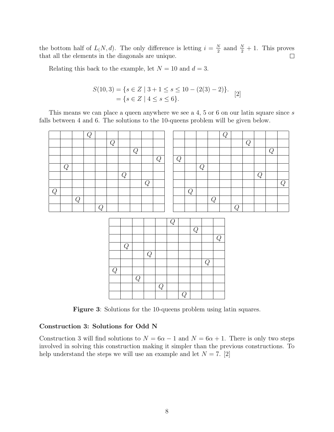the bottom half of  $L(N, d)$ . The only difference is letting  $i = \frac{N}{2}$  $\frac{N}{2}$  aand  $\frac{N}{2} + 1$ . This proves that all the elements in the diagonals are unique.

Relating this back to the example, let  $N = 10$  and  $d = 3$ .

$$
S(10,3) = \{s \in Z \mid 3+1 \le s \le 10 - (2(3) - 2)\}.
$$
  
=  $\{s \in Z \mid 4 \le s \le 6\}.$  [2]

This means we can place a queen anywhere we see a 4, 5 or 6 on our latin square since s falls between 4 and 6. The solutions to the 10-queens problem will be given below.

|   |            |                | $\overline{Q}$ |                |                |                |                |                |                |                |                |                |                |                |                | $\overline{Q}$ |            |                |                |            |                |
|---|------------|----------------|----------------|----------------|----------------|----------------|----------------|----------------|----------------|----------------|----------------|----------------|----------------|----------------|----------------|----------------|------------|----------------|----------------|------------|----------------|
|   |            |                |                |                | $\overline{Q}$ |                |                |                |                |                |                |                |                |                |                |                |            | $\overline{Q}$ |                |            |                |
|   |            |                |                |                |                |                | $\overline{Q}$ |                |                |                |                |                |                |                |                |                |            |                |                | ${\cal Q}$ |                |
|   |            |                |                |                |                |                |                |                | $\overline{Q}$ |                | $\overline{Q}$ |                |                |                |                |                |            |                |                |            |                |
|   | ${\cal Q}$ |                |                |                |                |                |                |                |                |                |                |                |                | $\cal Q$       |                |                |            |                |                |            |                |
|   |            |                |                |                |                | ${\cal Q}$     |                |                |                |                |                |                |                |                |                |                |            |                | $\overline{Q}$ |            |                |
|   |            |                |                |                |                |                |                | $\overline{Q}$ |                |                |                |                |                |                |                |                |            |                |                |            | $\overline{Q}$ |
| Q |            |                |                |                |                |                |                |                |                |                |                | $\overline{Q}$ |                |                |                |                |            |                |                |            |                |
|   |            | $\overline{Q}$ |                |                |                |                |                |                |                |                |                |                |                |                | $\overline{Q}$ |                |            |                |                |            |                |
|   |            |                |                | $\overline{Q}$ |                |                |                |                |                |                |                |                |                |                |                |                | ${\cal Q}$ |                |                |            |                |
|   |            |                |                |                |                |                |                |                |                |                |                |                |                |                |                |                |            |                |                |            |                |
|   |            |                |                |                |                |                |                |                |                | $\overline{Q}$ |                |                |                |                |                |                |            |                |                |            |                |
|   |            |                |                |                |                |                |                |                |                |                |                |                | $\overline{Q}$ |                |                |                |            |                |                |            |                |
|   |            |                |                |                |                |                |                |                |                |                |                |                |                |                |                | $\overline{Q}$ |            |                |                |            |                |
|   |            |                |                |                |                | $\overline{Q}$ |                |                |                |                |                |                |                |                |                |                |            |                |                |            |                |
|   |            |                |                |                |                |                |                | $\overline{Q}$ |                |                |                |                |                |                |                |                |            |                |                |            |                |
|   |            |                |                |                |                |                |                |                |                |                |                |                |                | $\overline{Q}$ |                |                |            |                |                |            |                |
|   |            |                |                |                | $\overline{Q}$ |                |                |                |                |                |                |                |                |                |                |                |            |                |                |            |                |
|   |            |                |                |                |                |                | $\overline{Q}$ |                |                |                |                |                |                |                |                |                |            |                |                |            |                |
|   |            |                |                |                |                |                |                |                | ${\cal Q}$     |                |                |                |                |                |                |                |            |                |                |            |                |
|   |            |                |                |                |                |                |                |                |                |                | ${\cal Q}$     |                |                |                |                |                |            |                |                |            |                |

Figure 3: Solutions for the 10-queens problem using latin squares.

### Construction 3: Solutions for Odd N

Construction 3 will find solutions to  $N = 6\alpha - 1$  and  $N = 6\alpha + 1$ . There is only two steps involved in solving this construction making it simpler than the previous constructions. To help understand the steps we will use an example and let  $N = 7$ . [2]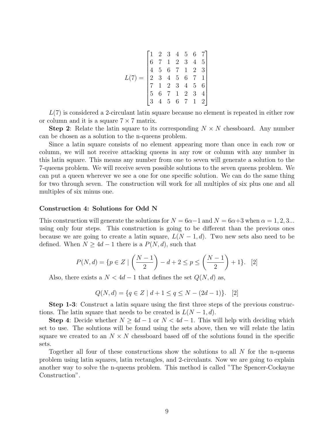$$
L(7) = \begin{bmatrix} 1 & 2 & 3 & 4 & 5 & 6 & 7 \\ 6 & 7 & 1 & 2 & 3 & 4 & 5 \\ 4 & 5 & 6 & 7 & 1 & 2 & 3 \\ 2 & 3 & 4 & 5 & 6 & 7 & 1 \\ 7 & 1 & 2 & 3 & 4 & 5 & 6 \\ 5 & 6 & 7 & 1 & 2 & 3 & 4 \\ 3 & 4 & 5 & 6 & 7 & 1 & 2 \end{bmatrix}
$$

 $L(7)$  is considered a 2-circulant latin square because no element is repeated in either row or column and it is a square  $7 \times 7$  matrix.

**Step 2:** Relate the latin square to its corresponding  $N \times N$  chessboard. Any number can be chosen as a solution to the n-queens problem.

Since a latin square consists of no element appearing more than once in each row or column, we will not receive attacking queens in any row or column with any number in this latin square. This means any number from one to seven will generate a solution to the 7-queens problem. We will receive seven possible solutions to the seven queens problem. We can put a queen wherever we see a one for one specific solution. We can do the same thing for two through seven. The construction will work for all multiples of six plus one and all multiples of six minus one.

#### Construction 4: Solutions for Odd N

This construction will generate the solutions for  $N = 6\alpha - 1$  and  $N = 6\alpha + 3$  when  $\alpha = 1, 2, 3...$ using only four steps. This construction is going to be different than the previous ones because we are going to create a latin square,  $L(N-1, d)$ . Two new sets also need to be defined. When  $N \geq 4d - 1$  there is a  $P(N, d)$ , such that

$$
P(N,d) = \{ p \in Z \mid \left( \frac{N-1}{2} \right) - d + 2 \le p \le \left( \frac{N-1}{2} \right) + 1 \}. \quad [2]
$$

Also, there exists a  $N < 4d - 1$  that defines the set  $Q(N, d)$  as,

$$
Q(N,d) = \{ q \in Z \mid d+1 \le q \le N - (2d-1) \}. \quad [2]
$$

Step 1-3: Construct a latin square using the first three steps of the previous constructions. The latin square that needs to be created is  $L(N-1, d)$ .

Step 4: Decide whether  $N \geq 4d - 1$  or  $N < 4d - 1$ . This will help with deciding which set to use. The solutions will be found using the sets above, then we will relate the latin square we created to an  $N \times N$  chessboard based off of the solutions found in the specific sets.

Together all four of these constructions show the solutions to all  $N$  for the n-queens problem using latin squares, latin rectangles, and 2-circulants. Now we are going to explain another way to solve the n-queens problem. This method is called "The Spencer-Cockayne Construction".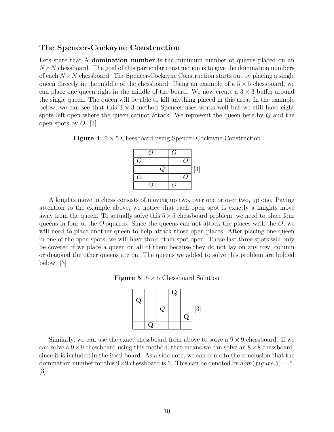### The Spencer-Cockayne Construction

Lets state that A domination number is the minimum number of queens placed on an  $N \times N$  chessboard. The goal of this particular construction is to give the domination numbers of each  $N \times N$  chessboard. The Spencer-Cockayne Construction starts out by placing a single queen directly in the middle of the chessboard. Using an example of a  $5 \times 5$  chessboard, we can place one queen right in the middle of the board. We now create a  $3 \times 3$  buffer around the single queen. The queen will be able to kill anything placed in this area. In the example below, we can see that this  $3 \times 3$  method Spencer uses works well but we still have eight spots left open where the queen cannot attack. We represent the queen here by Q and the open spots by  $O.$  [3]

**Figure 4:**  $5 \times 5$  Chessboard using Spencer-Cockayne Construction

|    |     | $\lceil 3 \rceil$ |
|----|-----|-------------------|
|    |     |                   |
| ι. | g i |                   |

A knights move in chess consists of moving up two, over one or over two, up one. Paying attention to the example above, we notice that each open spot is exactly a knights move away from the queen. To actually solve this  $5 \times 5$  chessboard problem, we need to place four queens in four of the  $\hat{O}$  squares. Since the queens can not attack the places with the  $\hat{O}$ , we will need to place another queen to help attack those open places. After placing one queen in one of the open spots, we will have three other spot open. These last three spots will only be covered if we place a queen on all of them because they do not lay on any row, column or diagonal the other queens are on. The queens we added to solve this problem are bolded below. [3]

**Figure 5:**  $5 \times 5$  Chessboard Solution



Similarly, we can use the exact chessboard from above to solve a  $9 \times 9$  chessboard. If we can solve a  $9 \times 9$  chessboard using this method, that means we can solve an  $8 \times 8$  chessboard, since it is included in the  $9 \times 9$  board. As a side note, we can come to the conclusion that the domination number for this  $9 \times 9$  chessboard is 5. This can be denoted by  $dom(figure 5) = 5$ .  $|3|$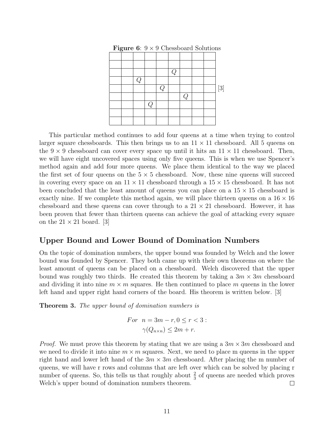| $\tilde{}$ |   |   |   |               |          |  |  |
|------------|---|---|---|---------------|----------|--|--|
|            |   |   |   |               |          |  |  |
|            |   |   |   |               |          |  |  |
|            |   |   |   | $\mathcal{Q}$ |          |  |  |
|            | Q |   |   |               |          |  |  |
|            |   |   | Q |               |          |  |  |
|            |   |   |   |               | $\omega$ |  |  |
|            |   | Q |   |               |          |  |  |
|            |   |   |   |               |          |  |  |
|            |   |   |   |               |          |  |  |

**Figure 6:**  $9 \times 9$  Chessboard Solutions

This particular method continues to add four queens at a time when trying to control larger square chessboards. This then brings us to an  $11 \times 11$  chessboard. All 5 queens on the  $9 \times 9$  chessboard can cover every space up until it hits an  $11 \times 11$  chessboard. Then, we will have eight uncovered spaces using only five queens. This is when we use Spencer's method again and add four more queens. We place them identical to the way we placed the first set of four queens on the  $5 \times 5$  chessboard. Now, these nine queens will succeed in covering every space on an  $11 \times 11$  chessboard through a  $15 \times 15$  chessboard. It has not been concluded that the least amount of queens you can place on a  $15 \times 15$  chessboard is exactly nine. If we complete this method again, we will place thirteen queens on a  $16 \times 16$ chessboard and these queens can cover through to a  $21 \times 21$  chessboard. However, it has been proven that fewer than thirteen queens can achieve the goal of attacking every square on the  $21 \times 21$  board. [3]

### Upper Bound and Lower Bound of Domination Numbers

On the topic of domination numbers, the upper bound was founded by Welch and the lower bound was founded by Spencer. They both came up with their own theorems on where the least amount of queens can be placed on a chessboard. Welch discovered that the upper bound was roughly two thirds. He created this theorem by taking a  $3m \times 3m$  chessboard and dividing it into nine  $m \times m$  squares. He then continued to place m queens in the lower left hand and upper right hand corners of the board. His theorem is written below. [3]

**Theorem 3.** The upper bound of domination numbers is

For 
$$
n = 3m - r, 0 \le r < 3
$$
:  
\n $\gamma(Q_{n \times n}) \le 2m + r$ .

*Proof.* We must prove this theorem by stating that we are using a  $3m \times 3m$  chessboard and we need to divide it into nine  $m \times m$  squares. Next, we need to place m queens in the upper right hand and lower left hand of the  $3m \times 3m$  chessboard. After placing the m number of queens, we will have r rows and columns that are left over which can be solved by placing r number of queens. So, this tells us that roughly about  $\frac{2}{3}$  of queens are needed which proves Welch's upper bound of domination numbers theorem.  $\Box$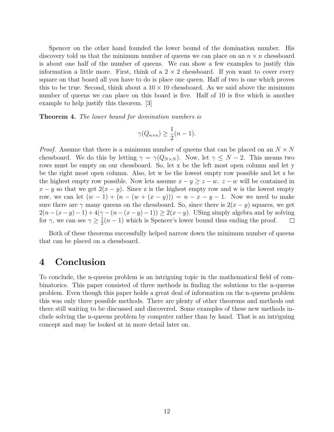Spencer on the other hand founded the lower bound of the domination number. His discovery told us that the minimum number of queens we can place on an  $n \times n$  chessboard is about one half of the number of queens. We can show a few examples to justify this information a little more. First, think of a  $2 \times 2$  chessboard. If you want to cover every square on that board all you have to do is place one queen. Half of two is one which proves this to be true. Second, think about a  $10 \times 10$  chessboard. As we said above the minimum number of queens we can place on this board is five. Half of 10 is five which is another example to help justify this theorem. [3]

Theorem 4. The lower bound for domination numbers is

$$
\gamma(Q_{n\times n}) \ge \frac{1}{2}(n-1).
$$

*Proof.* Assume that there is a minimum number of queens that can be placed on an  $N \times N$ chessboard. We do this by letting  $\gamma = \gamma(Q_{N\times N})$ . Now, let  $\gamma \leq N-2$ . This means two rows must be empty on our chessboard. So, let x be the left most open column and let y be the right most open column. Also, let w be the lowest empty row possible and let z be the highest empty row possible. Now lets assume  $x - y \geq z - w$ .  $z - w$  will be contained in  $x - y$  so that we get  $2(x - y)$ . Since z is the highest empty row and w is the lowest empty row, we can let  $(w - 1) + (n - (w + (x - y))) = n - x - y - 1$ . Now we need to make sure there are  $\gamma$  many queens on the chessboard. So, since there is  $2(x - y)$  squares, we get  $2(n-(x-y)-1)+4(\gamma-(n-(x-y)-1)) \geq 2(x-y)$ . Using simply algebra and by solving for  $\gamma$ , we can see  $\gamma \geq \frac{1}{2}$  $\frac{1}{2}(n-1)$  which is Spencer's lower bound thus ending the proof.  $\Box$ 

Both of these theorems successfully helped narrow down the minimum number of queens that can be placed on a chessboard.

### 4 Conclusion

To conclude, the n-queens problem is an intriguing topic in the mathematical field of combinatorics. This paper consisted of three methods in finding the solutions to the n-queens problem. Even though this paper holds a great deal of information on the n-queens problem this was only three possible methods. There are plenty of other theorems and methods out there still waiting to be discussed and discovered. Some examples of these new methods include solving the n-queens problem by computer rather than by hand. That is an intriguing concept and may be looked at in more detail later on.